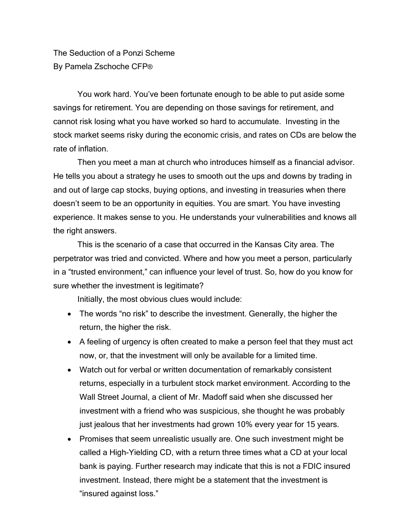The Seduction of a Ponzi Scheme By Pamela Zschoche CFP®

You work hard. You've been fortunate enough to be able to put aside some savings for retirement. You are depending on those savings for retirement, and cannot risk losing what you have worked so hard to accumulate. Investing in the stock market seems risky during the economic crisis, and rates on CDs are below the rate of inflation.

 Then you meet a man at church who introduces himself as a financial advisor. He tells you about a strategy he uses to smooth out the ups and downs by trading in and out of large cap stocks, buying options, and investing in treasuries when there doesn't seem to be an opportunity in equities. You are smart. You have investing experience. It makes sense to you. He understands your vulnerabilities and knows all the right answers.

 This is the scenario of a case that occurred in the Kansas City area. The perpetrator was tried and convicted. Where and how you meet a person, particularly in a "trusted environment," can influence your level of trust. So, how do you know for sure whether the investment is legitimate?

Initially, the most obvious clues would include:

- The words "no risk" to describe the investment. Generally, the higher the return, the higher the risk.
- A feeling of urgency is often created to make a person feel that they must act now, or, that the investment will only be available for a limited time.
- Watch out for verbal or written documentation of remarkably consistent returns, especially in a turbulent stock market environment. According to the Wall Street Journal, a client of Mr. Madoff said when she discussed her investment with a friend who was suspicious, she thought he was probably just jealous that her investments had grown 10% every year for 15 years.
- Promises that seem unrealistic usually are. One such investment might be called a High-Yielding CD, with a return three times what a CD at your local bank is paying. Further research may indicate that this is not a FDIC insured investment. Instead, there might be a statement that the investment is "insured against loss."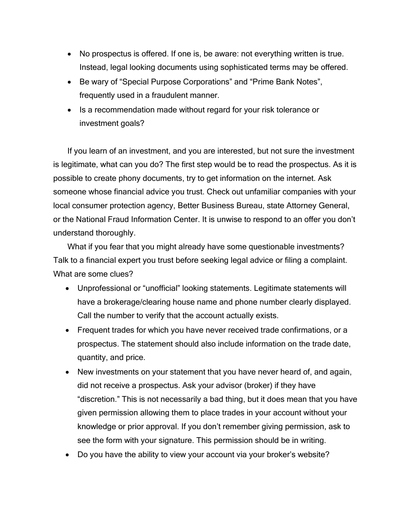- No prospectus is offered. If one is, be aware: not everything written is true. Instead, legal looking documents using sophisticated terms may be offered.
- Be wary of "Special Purpose Corporations" and "Prime Bank Notes", frequently used in a fraudulent manner.
- Is a recommendation made without regard for your risk tolerance or investment goals?

If you learn of an investment, and you are interested, but not sure the investment is legitimate, what can you do? The first step would be to read the prospectus. As it is possible to create phony documents, try to get information on the internet. Ask someone whose financial advice you trust. Check out unfamiliar companies with your local consumer protection agency, Better Business Bureau, state Attorney General, or the National Fraud Information Center. It is unwise to respond to an offer you don't understand thoroughly.

What if you fear that you might already have some questionable investments? Talk to a financial expert you trust before seeking legal advice or filing a complaint. What are some clues?

- Unprofessional or "unofficial" looking statements. Legitimate statements will have a brokerage/clearing house name and phone number clearly displayed. Call the number to verify that the account actually exists.
- Frequent trades for which you have never received trade confirmations, or a prospectus. The statement should also include information on the trade date, quantity, and price.
- New investments on your statement that you have never heard of, and again, did not receive a prospectus. Ask your advisor (broker) if they have "discretion." This is not necessarily a bad thing, but it does mean that you have given permission allowing them to place trades in your account without your knowledge or prior approval. If you don't remember giving permission, ask to see the form with your signature. This permission should be in writing.
- Do you have the ability to view your account via your broker's website?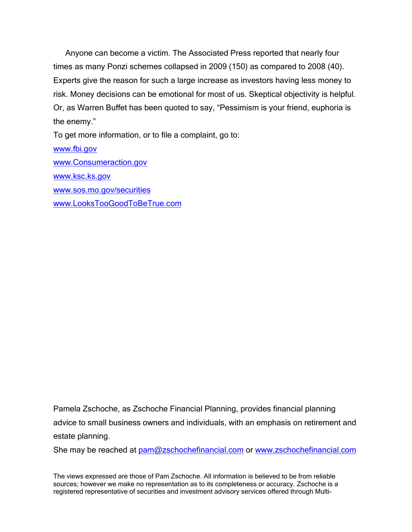Anyone can become a victim. The Associated Press reported that nearly four times as many Ponzi schemes collapsed in 2009 (150) as compared to 2008 (40). Experts give the reason for such a large increase as investors having less money to risk. Money decisions can be emotional for most of us. Skeptical objectivity is helpful. Or, as Warren Buffet has been quoted to say, "Pessimism is your friend, euphoria is the enemy."

To get more information, or to file a complaint, go to:

[www.fbi.gov](http://www.fbi.gov/) [www.Consumeraction.gov](http://www.consumeraction.gov/) [www.ksc.ks.gov](http://www.ksc.ks.gov/) [www.sos.mo.gov/securities](http://www.sos.mo.gov/securities)  [www.LooksTooGoodToBeTrue.com](http://www.lookstoogoodtobetrue.com/)

Pamela Zschoche, as Zschoche Financial Planning, provides financial planning advice to small business owners and individuals, with an emphasis on retirement and estate planning.

She may be reached at [pam@zschochefinancial.com](mailto:pam@zschochefinancial.com) or [www.zschochefinancial.com](http://www.zschochefinancial.com/)

The views expressed are those of Pam Zschoche. All information is believed to be from reliable sources; however we make no representation as to its completeness or accuracy. Zschoche is a registered representative of securities and investment advisory services offered through Multi